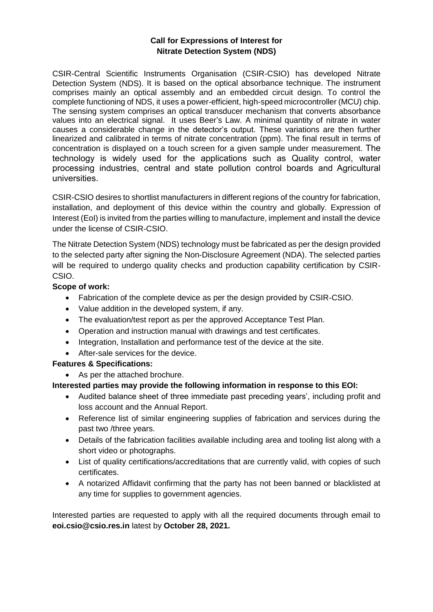## **Call for Expressions of Interest for Nitrate Detection System (NDS)**

CSIR-Central Scientific Instruments Organisation (CSIR-CSIO) has developed Nitrate Detection System (NDS). It is based on the optical absorbance technique. The instrument comprises mainly an optical assembly and an embedded circuit design. To control the complete functioning of NDS, it uses a power-efficient, high-speed microcontroller (MCU) chip. The sensing system comprises an optical transducer mechanism that converts absorbance values into an electrical signal. It uses Beer's Law. A minimal quantity of nitrate in water causes a considerable change in the detector's output. These variations are then further linearized and calibrated in terms of nitrate concentration (ppm). The final result in terms of concentration is displayed on a touch screen for a given sample under measurement. The technology is widely used for the applications such as Quality control, water processing industries, central and state pollution control boards and Agricultural universities.

CSIR-CSIO desires to shortlist manufacturers in different regions of the country for fabrication, installation, and deployment of this device within the country and globally. Expression of Interest (EoI) is invited from the parties willing to manufacture, implement and install the device under the license of CSIR-CSIO.

The Nitrate Detection System (NDS) technology must be fabricated as per the design provided to the selected party after signing the Non-Disclosure Agreement (NDA). The selected parties will be required to undergo quality checks and production capability certification by CSIR-CSIO.

### **Scope of work:**

- Fabrication of the complete device as per the design provided by CSIR-CSIO.
- Value addition in the developed system, if any.
- The evaluation/test report as per the approved Acceptance Test Plan.
- Operation and instruction manual with drawings and test certificates.
- Integration, Installation and performance test of the device at the site.
- After-sale services for the device.

#### **Features & Specifications:**

As per the attached brochure.

#### **Interested parties may provide the following information in response to this EOI:**

- Audited balance sheet of three immediate past preceding years', including profit and loss account and the Annual Report.
- Reference list of similar engineering supplies of fabrication and services during the past two /three years.
- Details of the fabrication facilities available including area and tooling list along with a short video or photographs.
- List of quality certifications/accreditations that are currently valid, with copies of such certificates.
- A notarized Affidavit confirming that the party has not been banned or blacklisted at any time for supplies to government agencies.

Interested parties are requested to apply with all the required documents through email to **eoi.csio@csio.res.in** latest by **October 28, 2021.**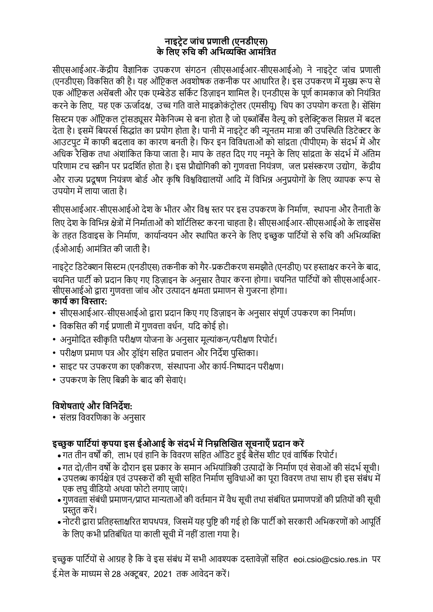# **नाइट्रेट् जाांच प्रणाली (एनडीएस) के ललए रुलच की अलिव्यक्ति आमांलित**

सीएसआईआर-केंद्रीय वैज्ञानिक उपकरण संगठन (सीएसआईआर-सीएसआईओ) ने नाइटेट जांच प्रणाली (एनडीएस) विकसित की है। यह ऑप्टिकल अवशोषक तकनीक पर आधारित है। इस उपकरण में मुख्य रूप से एक ऑप्टिकल असेंबली और एक एम्बेडेड सर्किट डिज़ाइन शामिल है। एनडीएस के पूर्ण कामकाज को नियंत्रित करने के लिए, यह एक ऊर्जादक्ष, उच्च गति वाले माइक्रोकंट्रोलर (एमसीयू) चिप का उपयोग करता है। सेंसिंग सिस्टम एक ऑप्टिकल टांसड्यूसर मैकेनिज्म से बना होता है जो एब्जॉर्बेंस वैल्यू को इलेक्टिकल सिग्नल में बदल देता है। इसमें बियरर्स सिद्धांत का प्रयोग होता है। पानी में नाइटेट की न्यूनतम मात्रा की उपस्थिति डिटेक्टर के आउटपुट में काफी बदलाव का कारण बनती है। फिर इन विविधताओं को सांद्रता (पीपीएम) के संदर्भ में और अधिक रैखिक तथा अंशांकित किया जाता है। माप के तहत दिए गए नमूने के लिए सांद्रता के संदर्भ में अंतिम परिणाम टच स्क्रीन पर प्रदर्शित होता है। इस प्रौद्योगिकी को गुणवत्ता नियंत्रण, जल प्रसंस्करण उद्योग, केंद्रीय और राज्य प्रदूषण नियंत्रण बोर्ड और कृषि विश्वविद्यालयों आदि में विभिन्न अनुप्रयोगों के लिए व्यापक रूप से उपयोग में लाया जाता है।

सीएसआईआर-सीएसआईओ देश के भीतर और विश्व स्तर पर इस उपकरण के निर्माण, स्थापना और तैनाती के लिए देश के विभिन्न क्षेत्रों में निर्माताओं को शॉर्टलिस्ट करना चाहता है। सीएसआईआर-सीएसआईओ के लाइसेंस के तहत डिवाइस के निर्माण, कार्यान्वयन और स्थापित करने के लिए इच्छुक पार्टियों से रुचि की अभिव्यक्ति (ईओआई) आमंनित की जाती है।

नाइटेट डिटेक्शन सिस्टम (एनडीएस) तकनीक को गैर-प्रकटीकरण समझौते (एनडीए) पर हस्ताक्षर करने के बाद, चयनित पार्टी को प्रदान किए गए डिज़ाइन के अनुसार तैयार करना होगा। चयनित पार्टियों को सीएसआईआर-सीएसआईओ द्वारा गुणवत्ता जांच और उत्पादन क्षमता प्रमाणन से गुजरना होगा। **कार्य का लिस्तार:**

- सीएसआईआर-सीएसआईओ द्वारा प्रदान किए गए डिज़ाइन के अनुसार संपूर्ण उपकरण का निर्माण।
- विकसित की गई प्रणाली में गुणवत्ता वर्धन, यदि कोई हो।
- अनुमोदित स्वीकृति परीक्षण योजना के अनुसार मूल्यांकन/परीक्षण रिपोर्ट।
- परीक्षण प्रमाण पत्र और ड़ॉइंग सहित प्रचालन और निर्देश पुस्तिका।
- साइट पर उपकरण का एकीकरण, संस्थापना और कार्य-निष्पादन परीक्षण।
- उपकरण के नलए नबक्री के बाद की सेवाएं ।

# **लिशेषताएां और लिलनर्देश:**

• संलग्न विवरणिका के अनसार

# **इच्छु क पालट्यर्ाां कृ पर्ा इस ईओआई के सांर्दियमेंलनम्नललक्तित सूचनाऍां प्रर्दान करें**

- गत तीि वषों की, लार् एवं हानि के नववरण सनहत ऑनडट् हुई बैलेंस शीट् एवं वानषिक ररपोट्ि।
- गत दो/तीन वर्षो के दौरान इस प्रकार के समान अभियांत्रिकी उत्पादों के निर्माण एवं सेवाओं की संदर्भ सूची।
- उपलब्ध कार्यक्षेत्र एवं उपस्करों की सूची सहित निर्माण सुविधाओं का पूरा विवरण तथा साथ ही इस संबंध में एक लघु वीडियो अथवा फोटो लगाए जाएं।
- गुणवत्ता संबंधी प्रमाणन/प्राप्त मान्यताओं की वर्तमान में वैध सूची तथा संबंधित प्रमाणपत्रों की प्रतियों की सूची प्रस्तुत करें।
- नोटरी द्वारा प्रतिहस्ताक्षरित शपथपत्र, जिसमें यह पृष्टि की गई हो कि पार्टी को सरकारी अभिकरणों को आपूर्ति के लिए कभी प्रतिबंधित या काली सूची में नहीं डाला गया है।

इच्छुक पार्टियों से आग्रह है कि वे इस संबंध में सभी आवश्यक दस्तावेज़ों सहित eoi.csio@csio.res.in पर ई.मेल के माध्यम से 28 अक्टूबर, 2021 तक आवेदन करें।